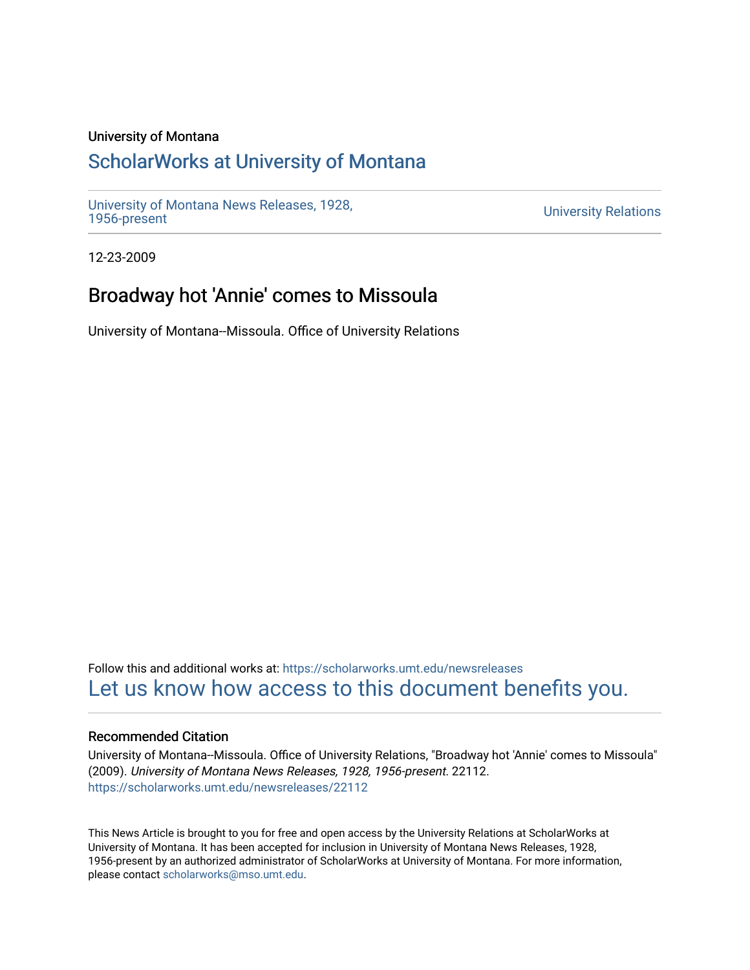#### University of Montana

### [ScholarWorks at University of Montana](https://scholarworks.umt.edu/)

[University of Montana News Releases, 1928,](https://scholarworks.umt.edu/newsreleases) 

**University Relations** 

12-23-2009

# Broadway hot 'Annie' comes to Missoula

University of Montana--Missoula. Office of University Relations

Follow this and additional works at: [https://scholarworks.umt.edu/newsreleases](https://scholarworks.umt.edu/newsreleases?utm_source=scholarworks.umt.edu%2Fnewsreleases%2F22112&utm_medium=PDF&utm_campaign=PDFCoverPages) [Let us know how access to this document benefits you.](https://goo.gl/forms/s2rGfXOLzz71qgsB2) 

#### Recommended Citation

University of Montana--Missoula. Office of University Relations, "Broadway hot 'Annie' comes to Missoula" (2009). University of Montana News Releases, 1928, 1956-present. 22112. [https://scholarworks.umt.edu/newsreleases/22112](https://scholarworks.umt.edu/newsreleases/22112?utm_source=scholarworks.umt.edu%2Fnewsreleases%2F22112&utm_medium=PDF&utm_campaign=PDFCoverPages) 

This News Article is brought to you for free and open access by the University Relations at ScholarWorks at University of Montana. It has been accepted for inclusion in University of Montana News Releases, 1928, 1956-present by an authorized administrator of ScholarWorks at University of Montana. For more information, please contact [scholarworks@mso.umt.edu.](mailto:scholarworks@mso.umt.edu)